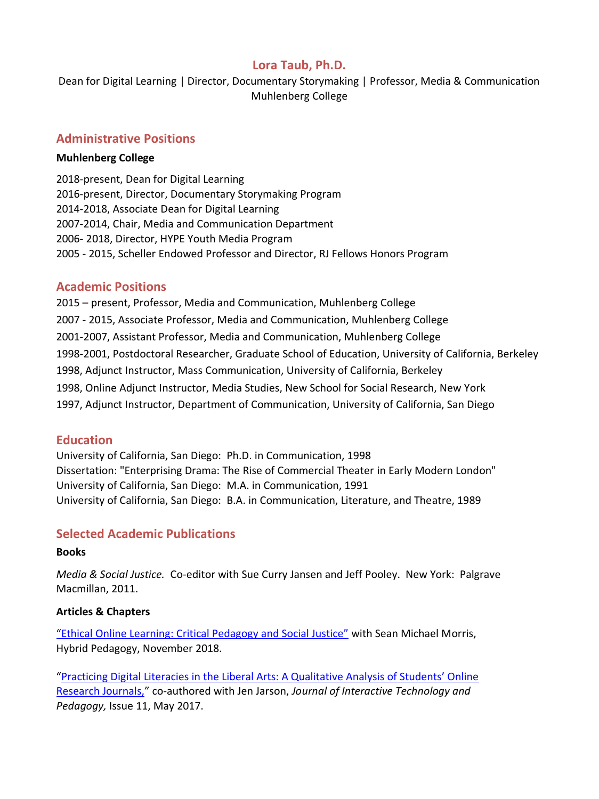## **Lora Taub, Ph.D.**

Dean for Digital Learning | Director, Documentary Storymaking | Professor, Media & Communication Muhlenberg College

### **Administrative Positions**

#### **Muhlenberg College**

2018-present, Dean for Digital Learning 2016-present, Director, Documentary Storymaking Program 2014-2018, Associate Dean for Digital Learning 2007-2014, Chair, Media and Communication Department 2006- 2018, Director, HYPE Youth Media Program 2005 - 2015, Scheller Endowed Professor and Director, RJ Fellows Honors Program

#### **Academic Positions**

2015 – present, Professor, Media and Communication, Muhlenberg College 2007 - 2015, Associate Professor, Media and Communication, Muhlenberg College 2001-2007, Assistant Professor, Media and Communication, Muhlenberg College 1998-2001, Postdoctoral Researcher, Graduate School of Education, University of California, Berkeley 1998, Adjunct Instructor, Mass Communication, University of California, Berkeley 1998, Online Adjunct Instructor, Media Studies, New School for Social Research, New York 1997, Adjunct Instructor, Department of Communication, University of California, San Diego

#### **Education**

University of California, San Diego: Ph.D. in Communication, 1998 Dissertation: "Enterprising Drama: The Rise of Commercial Theater in Early Modern London" University of California, San Diego: M.A. in Communication, 1991 University of California, San Diego: B.A. in Communication, Literature, and Theatre, 1989

## **Selected Academic Publications**

#### **Books**

*Media & Social Justice.* Co-editor with Sue Curry Jansen and Jeff Pooley. New York: Palgrave Macmillan, 2011.

#### **Articles & Chapters**

["Ethical Online Learning: Critical Pedagogy and Social Justice"](http://hybridpedagogy.org/ethical-online-learning/) with Sean Michael Morris, Hybrid Pedagogy, November 2018.

["Practicing Digital Literacies in the Liberal Arts: A Qualitative Analysis of Students' Online](https://jitp.commons.gc.cuny.edu/practicing-digital-literacy-in-the-liberal-arts-a-qualitative-analysis-of-students-online-research-journals/)  [Research Journals,](https://jitp.commons.gc.cuny.edu/practicing-digital-literacy-in-the-liberal-arts-a-qualitative-analysis-of-students-online-research-journals/)" co-authored with Jen Jarson, *Journal of Interactive Technology and Pedagogy,* Issue 11, May 2017.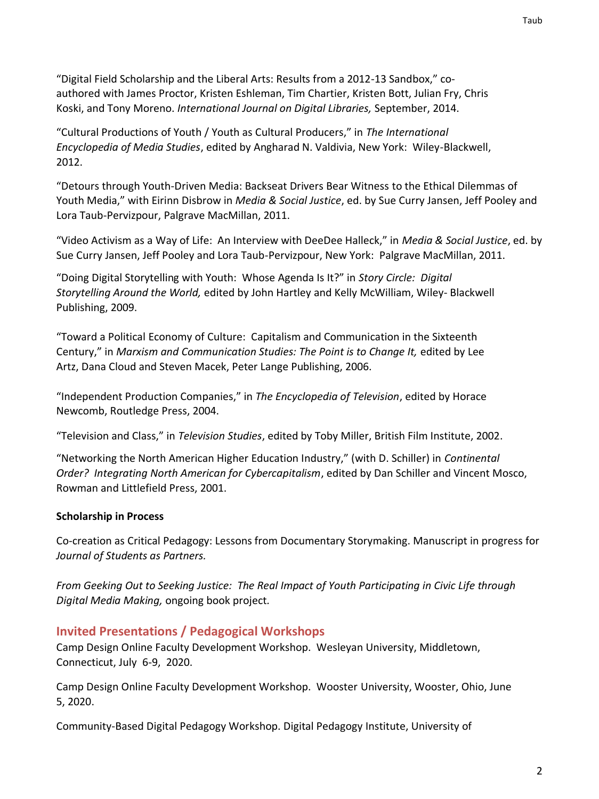"Digital Field Scholarship and the Liberal Arts: Results from a 2012-13 Sandbox," coauthored with James Proctor, Kristen Eshleman, Tim Chartier, Kristen Bott, Julian Fry, Chris Koski, and Tony Moreno. *International Journal on Digital Libraries,* September, 2014.

"Cultural Productions of Youth / Youth as Cultural Producers," in *The International Encyclopedia of Media Studies*, edited by Angharad N. Valdivia, New York: Wiley-Blackwell, 2012.

"Detours through Youth-Driven Media: Backseat Drivers Bear Witness to the Ethical Dilemmas of Youth Media," with Eirinn Disbrow in *Media & Social Justice*, ed. by Sue Curry Jansen, Jeff Pooley and Lora Taub-Pervizpour, Palgrave MacMillan, 2011.

"Video Activism as a Way of Life: An Interview with DeeDee Halleck," in *Media & Social Justice*, ed. by Sue Curry Jansen, Jeff Pooley and Lora Taub-Pervizpour, New York: Palgrave MacMillan, 2011.

"Doing Digital Storytelling with Youth: Whose Agenda Is It?" in *Story Circle: Digital Storytelling Around the World,* edited by John Hartley and Kelly McWilliam, Wiley- Blackwell Publishing, 2009.

"Toward a Political Economy of Culture: Capitalism and Communication in the Sixteenth Century," in *Marxism and Communication Studies: The Point is to Change It,* edited by Lee Artz, Dana Cloud and Steven Macek, Peter Lange Publishing, 2006.

"Independent Production Companies," in *The Encyclopedia of Television*, edited by Horace Newcomb, Routledge Press, 2004.

"Television and Class," in *Television Studies*, edited by Toby Miller, British Film Institute, 2002.

"Networking the North American Higher Education Industry," (with D. Schiller) in *Continental Order? Integrating North American for Cybercapitalism*, edited by Dan Schiller and Vincent Mosco, Rowman and Littlefield Press, 2001.

## **Scholarship in Process**

Co-creation as Critical Pedagogy: Lessons from Documentary Storymaking. Manuscript in progress for *Journal of Students as Partners.*

*From Geeking Out to Seeking Justice: The Real Impact of Youth Participating in Civic Life through Digital Media Making,* ongoing book project*.*

# **Invited Presentations / Pedagogical Workshops**

Camp Design Online Faculty Development Workshop. Wesleyan University, Middletown, Connecticut, July 6-9, 2020.

Camp Design Online Faculty Development Workshop. Wooster University, Wooster, Ohio, June 5, 2020.

Community-Based Digital Pedagogy Workshop. Digital Pedagogy Institute, University of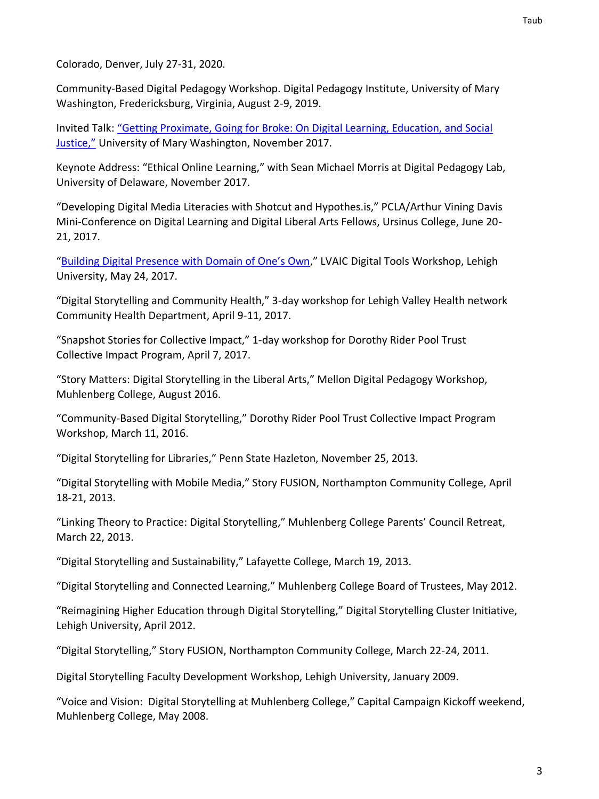Colorado, Denver, July 27-31, 2020.

Community-Based Digital Pedagogy Workshop. Digital Pedagogy Institute, University of Mary Washington, Fredericksburg, Virginia, August 2-9, 2019.

Invited Talk: ["Getting Proximate, Going for Broke: On Digital Learning, Education, and Social](https://www.youtube.com/watch?v=ijPVmwc2mOw)  [Justice,"](https://www.youtube.com/watch?v=ijPVmwc2mOw) University of Mary Washington, November 2017.

Keynote Address: "Ethical Online Learning," with Sean Michael Morris at Digital Pedagogy Lab, University of Delaware, November 2017.

"Developing Digital Media Literacies with Shotcut and Hypothes.is," PCLA/Arthur Vining Davis Mini-Conference on Digital Learning and Digital Liberal Arts Fellows, Ursinus College, June 20- 21, 2017.

"Building Digi[tal Presence with Domain of One's Own,](https://docs.google.com/presentation/d/146tGPsdxEM8-M2UQmgTtRrxyX6iyhzzyuj4C2heMkIc/edit?usp=sharing)" LVAIC Digital Tools Workshop, Lehigh University, May 24, 2017.

"Digital Storytelling and Community Health," 3-day workshop for Lehigh Valley Health network Community Health Department, April 9-11, 2017.

"Snapshot Stories for Collective Impact," 1-day workshop for Dorothy Rider Pool Trust Collective Impact Program, April 7, 2017.

"Story Matters: Digital Storytelling in the Liberal Arts," Mellon Digital Pedagogy Workshop, Muhlenberg College, August 2016.

"Community-Based Digital Storytelling," Dorothy Rider Pool Trust Collective Impact Program Workshop, March 11, 2016.

"Digital Storytelling for Libraries," Penn State Hazleton, November 25, 2013.

"Digital Storytelling with Mobile Media," Story FUSION, Northampton Community College, April 18-21, 2013.

"Linking Theory to Practice: Digital Storytelling," Muhlenberg College Parents' Council Retreat, March 22, 2013.

"Digital Storytelling and Sustainability," Lafayette College, March 19, 2013.

"Digital Storytelling and Connected Learning," Muhlenberg College Board of Trustees, May 2012.

"Reimagining Higher Education through Digital Storytelling," Digital Storytelling Cluster Initiative, Lehigh University, April 2012.

"Digital Storytelling," Story FUSION, Northampton Community College, March 22-24, 2011.

Digital Storytelling Faculty Development Workshop, Lehigh University, January 2009.

"Voice and Vision: Digital Storytelling at Muhlenberg College," Capital Campaign Kickoff weekend, Muhlenberg College, May 2008.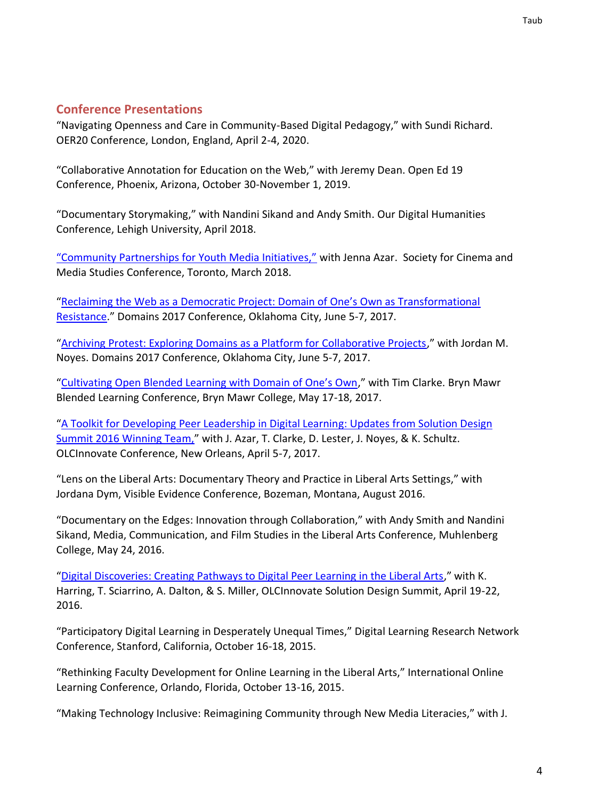# **Conference Presentations**

"Navigating Openness and Care in Community-Based Digital Pedagogy," with Sundi Richard. OER20 Conference, London, England, April 2-4, 2020.

"Collaborative Annotation for Education on the Web," with Jeremy Dean. Open Ed 19 Conference, Phoenix, Arizona, October 30-November 1, 2019.

"Documentary Storymaking," with Nandini Sikand and Andy Smith. Our Digital Humanities Conference, Lehigh University, April 2018.

["Community Partnerships for Youth Media Initiatives,"](https://docs.google.com/presentation/d/1Hi2aMe-9hTAtSny2SA99q8iTFcCdAq_M-cWL99_Mcdg/edit?usp=sharing) with Jenna Azar. Society for Cinema and Media Studies Conference, Toronto, March 2018.

["Reclaiming the Web as a Democratic Project: Domain of One's Own as Transformational](https://docs.google.com/presentation/d/1eQ7NaBSflFxnhxmfBjXsRSILNi8YEN8VAYpxbe2rxTI/edit?usp=sharing)  [Resistance](https://docs.google.com/presentation/d/1eQ7NaBSflFxnhxmfBjXsRSILNi8YEN8VAYpxbe2rxTI/edit?usp=sharing)." Domains 2017 Conference, Oklahoma City, June 5-7, 2017.

"[Archiving Protest: Exploring Domains as a Platform for Collaborative Projects](https://docs.google.com/presentation/d/1vhWqW7FS0xvk9vs2w-QlCvxDlXZSAIGFMhYjaq9cUGs/edit?usp=sharing)," with Jordan M. Noyes. Domains 2017 Conference, Oklahoma City, June 5-7, 2017.

["Cultivating Open Blended Learning with Domain of One's Own,](https://docs.google.com/presentation/d/1hgJ2SmJHY6iVtMVIWNtATe-qAuGrNP_TFp9ThyySMRs/edit?usp=sharing)" with Tim Clarke. Bryn Mawr Blended Learning Conference, Bryn Mawr College, May 17-18, 2017.

"[A Toolkit for Developing Peer Leadership in Digital Learning: Updates from Solution Design](https://docs.google.com/presentation/d/1msxl3zIO1zn5lbAv9yaB2bQ84_zuMXDZK1BA8MCQ4Wk/edit?usp=sharing)  [Summit 2016 Winning Team,](https://docs.google.com/presentation/d/1msxl3zIO1zn5lbAv9yaB2bQ84_zuMXDZK1BA8MCQ4Wk/edit?usp=sharing)" with J. Azar, T. Clarke, D. Lester, J. Noyes, & K. Schultz. OLCInnovate Conference, New Orleans, April 5-7, 2017.

"Lens on the Liberal Arts: Documentary Theory and Practice in Liberal Arts Settings," with Jordana Dym, Visible Evidence Conference, Bozeman, Montana, August 2016.

"Documentary on the Edges: Innovation through Collaboration," with Andy Smith and Nandini Sikand, Media, Communication, and Film Studies in the Liberal Arts Conference, Muhlenberg College, May 24, 2016.

"[Digital Discoveries: Creating Pathways to Digital Peer Learning in the Liberal Arts](https://docs.google.com/presentation/d/1gxMnBeZSuFoAdzArrGHNHjdGhrm6UFfEJdsce8_ZE9o/edit?usp=sharing)," with K. Harring, T. Sciarrino, A. Dalton, & S. Miller, OLCInnovate Solution Design Summit, April 19-22, 2016.

"Participatory Digital Learning in Desperately Unequal Times," Digital Learning Research Network Conference, Stanford, California, October 16-18, 2015.

"Rethinking Faculty Development for Online Learning in the Liberal Arts," International Online Learning Conference, Orlando, Florida, October 13-16, 2015.

"Making Technology Inclusive: Reimagining Community through New Media Literacies," with J.

Taub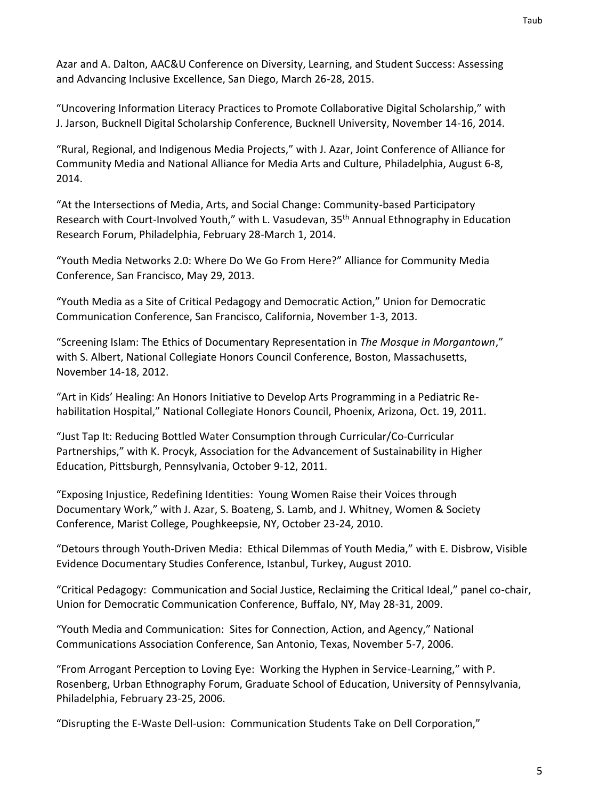Azar and A. Dalton, AAC&U Conference on Diversity, Learning, and Student Success: Assessing and Advancing Inclusive Excellence, San Diego, March 26-28, 2015.

"Uncovering Information Literacy Practices to Promote Collaborative Digital Scholarship," with J. Jarson, Bucknell Digital Scholarship Conference, Bucknell University, November 14-16, 2014.

"Rural, Regional, and Indigenous Media Projects," with J. Azar, Joint Conference of Alliance for Community Media and National Alliance for Media Arts and Culture, Philadelphia, August 6-8, 2014.

"At the Intersections of Media, Arts, and Social Change: Community-based Participatory Research with Court-Involved Youth," with L. Vasudevan, 35<sup>th</sup> Annual Ethnography in Education Research Forum, Philadelphia, February 28-March 1, 2014.

"Youth Media Networks 2.0: Where Do We Go From Here?" Alliance for Community Media Conference, San Francisco, May 29, 2013.

"Youth Media as a Site of Critical Pedagogy and Democratic Action," Union for Democratic Communication Conference, San Francisco, California, November 1-3, 2013.

"Screening Islam: The Ethics of Documentary Representation in *The Mosque in Morgantown*," with S. Albert, National Collegiate Honors Council Conference, Boston, Massachusetts, November 14-18, 2012.

"Art in Kids' Healing: An Honors Initiative to Develop Arts Programming in a Pediatric Rehabilitation Hospital," National Collegiate Honors Council, Phoenix, Arizona, Oct. 19, 2011.

"Just Tap It: Reducing Bottled Water Consumption through Curricular/Co-Curricular Partnerships," with K. Procyk, Association for the Advancement of Sustainability in Higher Education, Pittsburgh, Pennsylvania, October 9-12, 2011.

"Exposing Injustice, Redefining Identities: Young Women Raise their Voices through Documentary Work," with J. Azar, S. Boateng, S. Lamb, and J. Whitney, Women & Society Conference, Marist College, Poughkeepsie, NY, October 23-24, 2010.

"Detours through Youth-Driven Media: Ethical Dilemmas of Youth Media," with E. Disbrow, Visible Evidence Documentary Studies Conference, Istanbul, Turkey, August 2010.

"Critical Pedagogy: Communication and Social Justice, Reclaiming the Critical Ideal," panel co-chair, Union for Democratic Communication Conference, Buffalo, NY, May 28-31, 2009.

"Youth Media and Communication: Sites for Connection, Action, and Agency," National Communications Association Conference, San Antonio, Texas, November 5-7, 2006.

"From Arrogant Perception to Loving Eye: Working the Hyphen in Service-Learning," with P. Rosenberg, Urban Ethnography Forum, Graduate School of Education, University of Pennsylvania, Philadelphia, February 23-25, 2006.

"Disrupting the E-Waste Dell-usion: Communication Students Take on Dell Corporation,"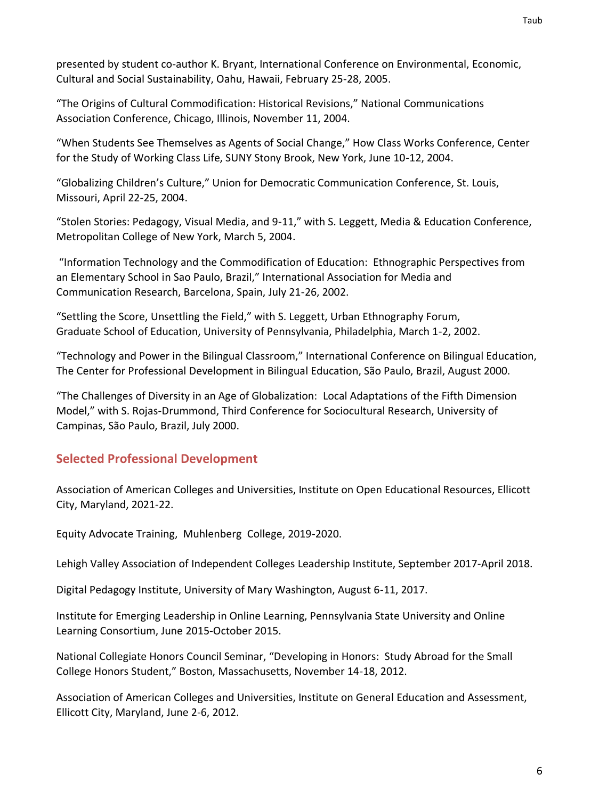presented by student co-author K. Bryant, International Conference on Environmental, Economic, Cultural and Social Sustainability, Oahu, Hawaii, February 25-28, 2005.

"The Origins of Cultural Commodification: Historical Revisions," National Communications Association Conference, Chicago, Illinois, November 11, 2004.

"When Students See Themselves as Agents of Social Change," How Class Works Conference, Center for the Study of Working Class Life, SUNY Stony Brook, New York, June 10-12, 2004.

"Globalizing Children's Culture," Union for Democratic Communication Conference, St. Louis, Missouri, April 22-25, 2004.

"Stolen Stories: Pedagogy, Visual Media, and 9-11," with S. Leggett, Media & Education Conference, Metropolitan College of New York, March 5, 2004.

"Information Technology and the Commodification of Education: Ethnographic Perspectives from an Elementary School in Sao Paulo, Brazil," International Association for Media and Communication Research, Barcelona, Spain, July 21-26, 2002.

"Settling the Score, Unsettling the Field," with S. Leggett, Urban Ethnography Forum, Graduate School of Education, University of Pennsylvania, Philadelphia, March 1-2, 2002.

"Technology and Power in the Bilingual Classroom," International Conference on Bilingual Education, The Center for Professional Development in Bilingual Education, São Paulo, Brazil, August 2000.

"The Challenges of Diversity in an Age of Globalization: Local Adaptations of the Fifth Dimension Model," with S. Rojas-Drummond, Third Conference for Sociocultural Research, University of Campinas, São Paulo, Brazil, July 2000.

# **Selected Professional Development**

Association of American Colleges and Universities, Institute on Open Educational Resources, Ellicott City, Maryland, 2021-22.

Equity Advocate Training, Muhlenberg College, 2019-2020.

Lehigh Valley Association of Independent Colleges Leadership Institute, September 2017-April 2018.

Digital Pedagogy Institute, University of Mary Washington, August 6-11, 2017.

Institute for Emerging Leadership in Online Learning, Pennsylvania State University and Online Learning Consortium, June 2015-October 2015.

National Collegiate Honors Council Seminar, "Developing in Honors: Study Abroad for the Small College Honors Student," Boston, Massachusetts, November 14-18, 2012.

Association of American Colleges and Universities, Institute on General Education and Assessment, Ellicott City, Maryland, June 2-6, 2012.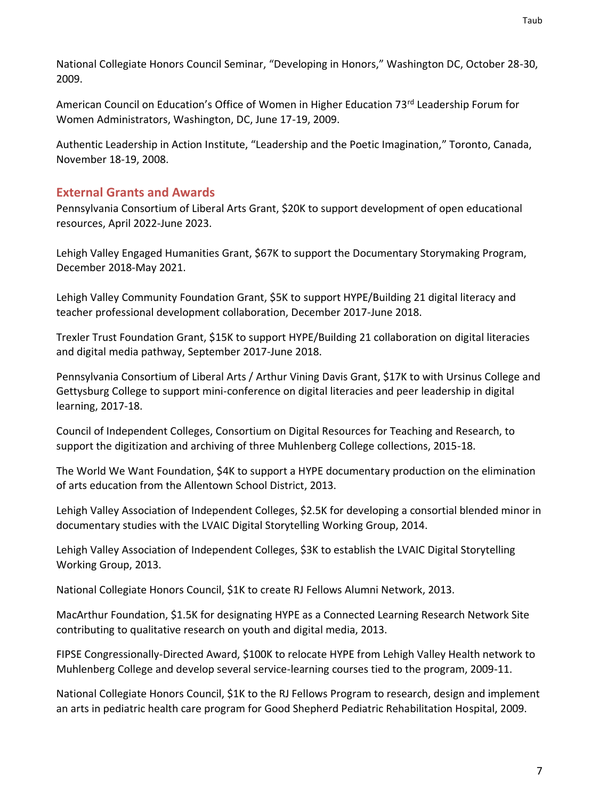National Collegiate Honors Council Seminar, "Developing in Honors," Washington DC, October 28-30, 2009.

American Council on Education's Office of Women in Higher Education 73<sup>rd</sup> Leadership Forum for Women Administrators, Washington, DC, June 17-19, 2009.

Authentic Leadership in Action Institute, "Leadership and the Poetic Imagination," Toronto, Canada, November 18-19, 2008.

# **External Grants and Awards**

Pennsylvania Consortium of Liberal Arts Grant, \$20K to support development of open educational resources, April 2022-June 2023.

Lehigh Valley Engaged Humanities Grant, \$67K to support the Documentary Storymaking Program, December 2018-May 2021.

Lehigh Valley Community Foundation Grant, \$5K to support HYPE/Building 21 digital literacy and teacher professional development collaboration, December 2017-June 2018.

Trexler Trust Foundation Grant, \$15K to support HYPE/Building 21 collaboration on digital literacies and digital media pathway, September 2017-June 2018.

Pennsylvania Consortium of Liberal Arts / Arthur Vining Davis Grant, \$17K to with Ursinus College and Gettysburg College to support mini-conference on digital literacies and peer leadership in digital learning, 2017-18.

Council of Independent Colleges, Consortium on Digital Resources for Teaching and Research, to support the digitization and archiving of three Muhlenberg College collections, 2015-18.

The World We Want Foundation, \$4K to support a HYPE documentary production on the elimination of arts education from the Allentown School District, 2013.

Lehigh Valley Association of Independent Colleges, \$2.5K for developing a consortial blended minor in documentary studies with the LVAIC Digital Storytelling Working Group, 2014.

Lehigh Valley Association of Independent Colleges, \$3K to establish the LVAIC Digital Storytelling Working Group, 2013.

National Collegiate Honors Council, \$1K to create RJ Fellows Alumni Network, 2013.

MacArthur Foundation, \$1.5K for designating HYPE as a Connected Learning Research Network Site contributing to qualitative research on youth and digital media, 2013.

FIPSE Congressionally-Directed Award, \$100K to relocate HYPE from Lehigh Valley Health network to Muhlenberg College and develop several service-learning courses tied to the program, 2009-11.

National Collegiate Honors Council, \$1K to the RJ Fellows Program to research, design and implement an arts in pediatric health care program for Good Shepherd Pediatric Rehabilitation Hospital, 2009.